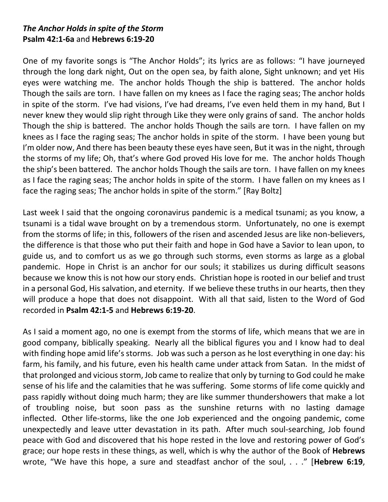## *The Anchor Holds in spite of the Storm* **Psalm 42:1-6a** and **Hebrews 6:19-20**

One of my favorite songs is "The Anchor Holds"; its lyrics are as follows: "I have journeyed through the long dark night, Out on the open sea, by faith alone, Sight unknown; and yet His eyes were watching me. The anchor holds Though the ship is battered. The anchor holds Though the sails are torn. I have fallen on my knees as I face the raging seas; The anchor holds in spite of the storm. I've had visions, I've had dreams, I've even held them in my hand, But I never knew they would slip right through Like they were only grains of sand. The anchor holds Though the ship is battered. The anchor holds Though the sails are torn. I have fallen on my knees as I face the raging seas; The anchor holds in spite of the storm. I have been young but I'm older now, And there has been beauty these eyes have seen, But it was in the night, through the storms of my life; Oh, that's where God proved His love for me. The anchor holds Though the ship's been battered. The anchor holds Though the sails are torn. I have fallen on my knees as I face the raging seas; The anchor holds in spite of the storm. I have fallen on my knees as I face the raging seas; The anchor holds in spite of the storm." [Ray Boltz]

Last week I said that the ongoing coronavirus pandemic is a medical tsunami; as you know, a tsunami is a tidal wave brought on by a tremendous storm. Unfortunately, no one is exempt from the storms of life; in this, followers of the risen and ascended Jesus are like non-believers, the difference is that those who put their faith and hope in God have a Savior to lean upon, to guide us, and to comfort us as we go through such storms, even storms as large as a global pandemic. Hope in Christ is an anchor for our souls; it stabilizes us during difficult seasons because we know this is not how our story ends. Christian hope is rooted in our belief and trust in a personal God, His salvation, and eternity. If we believe these truths in our hearts, then they will produce a hope that does not disappoint. With all that said, listen to the Word of God recorded in **Psalm 42:1-5** and **Hebrews 6:19-20**.

As I said a moment ago, no one is exempt from the storms of life, which means that we are in good company, biblically speaking. Nearly all the biblical figures you and I know had to deal with finding hope amid life's storms. Job was such a person as he lost everything in one day: his farm, his family, and his future, even his health came under attack from Satan. In the midst of that prolonged and vicious storm, Job came to realize that only by turning to God could he make sense of his life and the calamities that he was suffering. Some storms of life come quickly and pass rapidly without doing much harm; they are like summer thundershowers that make a lot of troubling noise, but soon pass as the sunshine returns with no lasting damage inflected. Other life-storms, like the one Job experienced and the ongoing pandemic, come unexpectedly and leave utter devastation in its path. After much soul-searching, Job found peace with God and discovered that his hope rested in the love and restoring power of God's grace; our hope rests in these things, as well, which is why the author of the Book of **Hebrews** wrote, "We have this hope, a sure and steadfast anchor of the soul, . . ." [**Hebrew 6:19**,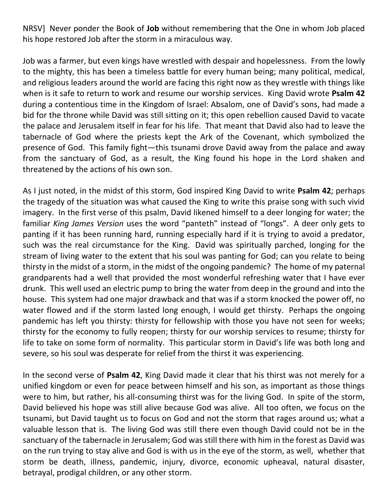NRSV] Never ponder the Book of **Job** without remembering that the One in whom Job placed his hope restored Job after the storm in a miraculous way.

Job was a farmer, but even kings have wrestled with despair and hopelessness. From the lowly to the mighty, this has been a timeless battle for every human being; many political, medical, and religious leaders around the world are facing this right now as they wrestle with things like when is it safe to return to work and resume our worship services. King David wrote **Psalm 42** during a contentious time in the Kingdom of Israel: Absalom, one of David's sons, had made a bid for the throne while David was still sitting on it; this open rebellion caused David to vacate the palace and Jerusalem itself in fear for his life. That meant that David also had to leave the tabernacle of God where the priests kept the Ark of the Covenant, which symbolized the presence of God. This family fight—this tsunami drove David away from the palace and away from the sanctuary of God, as a result, the King found his hope in the Lord shaken and threatened by the actions of his own son.

As I just noted, in the midst of this storm, God inspired King David to write **Psalm 42**; perhaps the tragedy of the situation was what caused the King to write this praise song with such vivid imagery. In the first verse of this psalm, David likened himself to a deer longing for water; the familiar *King James Version* uses the word "panteth" instead of "longs". A deer only gets to panting if it has been running hard, running especially hard if it is trying to avoid a predator, such was the real circumstance for the King. David was spiritually parched, longing for the stream of living water to the extent that his soul was panting for God; can you relate to being thirsty in the midst of a storm, in the midst of the ongoing pandemic? The home of my paternal grandparents had a well that provided the most wonderful refreshing water that I have ever drunk. This well used an electric pump to bring the water from deep in the ground and into the house. This system had one major drawback and that was if a storm knocked the power off, no water flowed and if the storm lasted long enough, I would get thirsty. Perhaps the ongoing pandemic has left you thirsty: thirsty for fellowship with those you have not seen for weeks; thirsty for the economy to fully reopen; thirsty for our worship services to resume; thirsty for life to take on some form of normality. This particular storm in David's life was both long and severe, so his soul was desperate for relief from the thirst it was experiencing.

In the second verse of **Psalm 42**, King David made it clear that his thirst was not merely for a unified kingdom or even for peace between himself and his son, as important as those things were to him, but rather, his all-consuming thirst was for the living God. In spite of the storm, David believed his hope was still alive because God was alive. All too often, we focus on the tsunami, but David taught us to focus on God and not the storm that rages around us; what a valuable lesson that is. The living God was still there even though David could not be in the sanctuary of the tabernacle in Jerusalem; God was still there with him in the forest as David was on the run trying to stay alive and God is with us in the eye of the storm, as well, whether that storm be death, illness, pandemic, injury, divorce, economic upheaval, natural disaster, betrayal, prodigal children, or any other storm.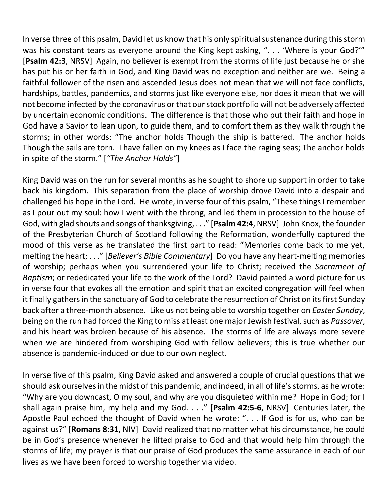In verse three of this psalm, David let us know that his only spiritual sustenance during this storm was his constant tears as everyone around the King kept asking, ". . . 'Where is your God?'" [**Psalm 42:3**, NRSV] Again, no believer is exempt from the storms of life just because he or she has put his or her faith in God, and King David was no exception and neither are we. Being a faithful follower of the risen and ascended Jesus does not mean that we will not face conflicts, hardships, battles, pandemics, and storms just like everyone else, nor does it mean that we will not become infected by the coronavirus or that our stock portfolio will not be adversely affected by uncertain economic conditions. The difference is that those who put their faith and hope in God have a Savior to lean upon, to guide them, and to comfort them as they walk through the storms; in other words: "The anchor holds Though the ship is battered. The anchor holds Though the sails are torn. I have fallen on my knees as I face the raging seas; The anchor holds in spite of the storm." [*"The Anchor Holds"*]

King David was on the run for several months as he sought to shore up support in order to take back his kingdom. This separation from the place of worship drove David into a despair and challenged his hope in the Lord. He wrote, in verse four of this psalm, "These things I remember as I pour out my soul: how I went with the throng, and led them in procession to the house of God, with glad shouts and songs of thanksgiving, . . ." [**Psalm 42:4**, NRSV] John Knox, the founder of the Presbyterian Church of Scotland following the Reformation, wonderfully captured the mood of this verse as he translated the first part to read: "Memories come back to me yet, melting the heart; . . ." [*Believer's Bible Commentary*] Do you have any heart-melting memories of worship; perhaps when you surrendered your life to Christ; received the *Sacrament of Baptism*; or rededicated your life to the work of the Lord? David painted a word picture for us in verse four that evokes all the emotion and spirit that an excited congregation will feel when it finally gathers in the sanctuary of God to celebrate the resurrection of Christ on its first Sunday back after a three-month absence. Like us not being able to worship together on *Easter Sunday*, being on the run had forced the King to miss at least one major Jewish festival, such as *Passover*, and his heart was broken because of his absence. The storms of life are always more severe when we are hindered from worshiping God with fellow believers; this is true whether our absence is pandemic-induced or due to our own neglect.

In verse five of this psalm, King David asked and answered a couple of crucial questions that we should ask ourselves in the midst of this pandemic, and indeed, in all of life's storms, as he wrote: "Why are you downcast, O my soul, and why are you disquieted within me? Hope in God; for I shall again praise him, my help and my God. . . ." [**Psalm 42:5-6**, NRSV] Centuries later, the Apostle Paul echoed the thought of David when he wrote: ". . . If God is for us, who can be against us?" [**Romans 8:31**, NIV] David realized that no matter what his circumstance, he could be in God's presence whenever he lifted praise to God and that would help him through the storms of life; my prayer is that our praise of God produces the same assurance in each of our lives as we have been forced to worship together via video.